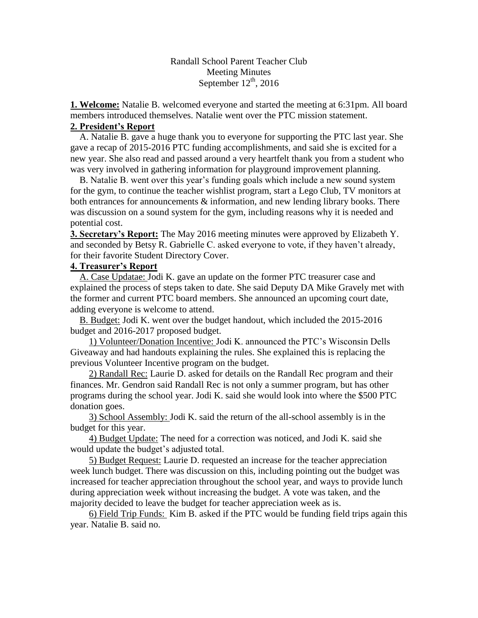Randall School Parent Teacher Club Meeting Minutes September  $12<sup>th</sup>$ , 2016

**1. Welcome:** Natalie B. welcomed everyone and started the meeting at 6:31pm. All board members introduced themselves. Natalie went over the PTC mission statement.

## **2. President's Report**

 A. Natalie B. gave a huge thank you to everyone for supporting the PTC last year. She gave a recap of 2015-2016 PTC funding accomplishments, and said she is excited for a new year. She also read and passed around a very heartfelt thank you from a student who was very involved in gathering information for playground improvement planning.

 B. Natalie B. went over this year's funding goals which include a new sound system for the gym, to continue the teacher wishlist program, start a Lego Club, TV monitors at both entrances for announcements & information, and new lending library books. There was discussion on a sound system for the gym, including reasons why it is needed and potential cost.

**3. Secretary's Report:** The May 2016 meeting minutes were approved by Elizabeth Y. and seconded by Betsy R. Gabrielle C. asked everyone to vote, if they haven't already, for their favorite Student Directory Cover.

## **4. Treasurer's Report**

 A. Case Updatae: Jodi K. gave an update on the former PTC treasurer case and explained the process of steps taken to date. She said Deputy DA Mike Gravely met with the former and current PTC board members. She announced an upcoming court date, adding everyone is welcome to attend.

 B. Budget: Jodi K. went over the budget handout, which included the 2015-2016 budget and 2016-2017 proposed budget.

 1) Volunteer/Donation Incentive: Jodi K. announced the PTC's Wisconsin Dells Giveaway and had handouts explaining the rules. She explained this is replacing the previous Volunteer Incentive program on the budget.

 2) Randall Rec: Laurie D. asked for details on the Randall Rec program and their finances. Mr. Gendron said Randall Rec is not only a summer program, but has other programs during the school year. Jodi K. said she would look into where the \$500 PTC donation goes.

 3) School Assembly: Jodi K. said the return of the all-school assembly is in the budget for this year.

 4) Budget Update: The need for a correction was noticed, and Jodi K. said she would update the budget's adjusted total.

 5) Budget Request: Laurie D. requested an increase for the teacher appreciation week lunch budget. There was discussion on this, including pointing out the budget was increased for teacher appreciation throughout the school year, and ways to provide lunch during appreciation week without increasing the budget. A vote was taken, and the majority decided to leave the budget for teacher appreciation week as is.

 6) Field Trip Funds: Kim B. asked if the PTC would be funding field trips again this year. Natalie B. said no.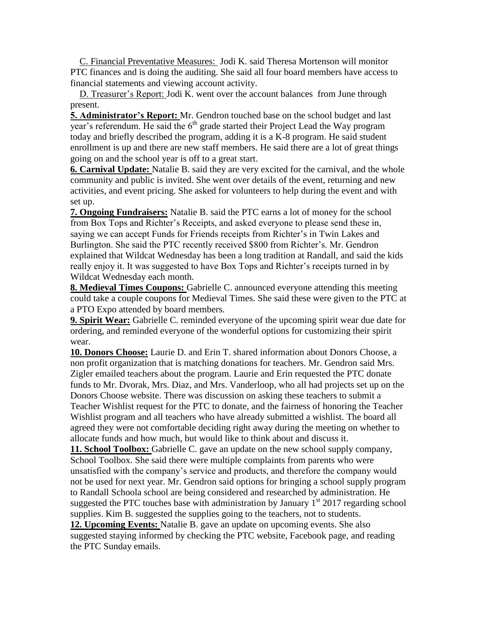C. Financial Preventative Measures: Jodi K. said Theresa Mortenson will monitor PTC finances and is doing the auditing. She said all four board members have access to financial statements and viewing account activity.

 D. Treasurer's Report: Jodi K. went over the account balances from June through present.

**5. Administrator's Report:** Mr. Gendron touched base on the school budget and last year's referendum. He said the  $6<sup>th</sup>$  grade started their Project Lead the Way program today and briefly described the program, adding it is a K-8 program. He said student enrollment is up and there are new staff members. He said there are a lot of great things going on and the school year is off to a great start.

**6. Carnival Update:** Natalie B. said they are very excited for the carnival, and the whole community and public is invited. She went over details of the event, returning and new activities, and event pricing. She asked for volunteers to help during the event and with set up.

**7. Ongoing Fundraisers:** Natalie B. said the PTC earns a lot of money for the school from Box Tops and Richter's Receipts, and asked everyone to please send these in, saying we can accept Funds for Friends receipts from Richter's in Twin Lakes and Burlington. She said the PTC recently received \$800 from Richter's. Mr. Gendron explained that Wildcat Wednesday has been a long tradition at Randall, and said the kids really enjoy it. It was suggested to have Box Tops and Richter's receipts turned in by Wildcat Wednesday each month.

**8. Medieval Times Coupons:** Gabrielle C. announced everyone attending this meeting could take a couple coupons for Medieval Times. She said these were given to the PTC at a PTO Expo attended by board members.

**9. Spirit Wear:** Gabrielle C. reminded everyone of the upcoming spirit wear due date for ordering, and reminded everyone of the wonderful options for customizing their spirit wear.

**10. Donors Choose:** Laurie D. and Erin T. shared information about Donors Choose, a non profit organization that is matching donations for teachers. Mr. Gendron said Mrs. Zigler emailed teachers about the program. Laurie and Erin requested the PTC donate funds to Mr. Dvorak, Mrs. Diaz, and Mrs. Vanderloop, who all had projects set up on the Donors Choose website. There was discussion on asking these teachers to submit a Teacher Wishlist request for the PTC to donate, and the fairness of honoring the Teacher Wishlist program and all teachers who have already submitted a wishlist. The board all agreed they were not comfortable deciding right away during the meeting on whether to allocate funds and how much, but would like to think about and discuss it.

**11. School Toolbox:** Gabrielle C. gave an update on the new school supply company, School Toolbox. She said there were multiple complaints from parents who were unsatisfied with the company's service and products, and therefore the company would not be used for next year. Mr. Gendron said options for bringing a school supply program to Randall Schoola school are being considered and researched by administration. He suggested the PTC touches base with administration by January  $1<sup>st</sup>$  2017 regarding school supplies. Kim B. suggested the supplies going to the teachers, not to students.

**12. Upcoming Events:** Natalie B. gave an update on upcoming events. She also suggested staying informed by checking the PTC website, Facebook page, and reading the PTC Sunday emails.